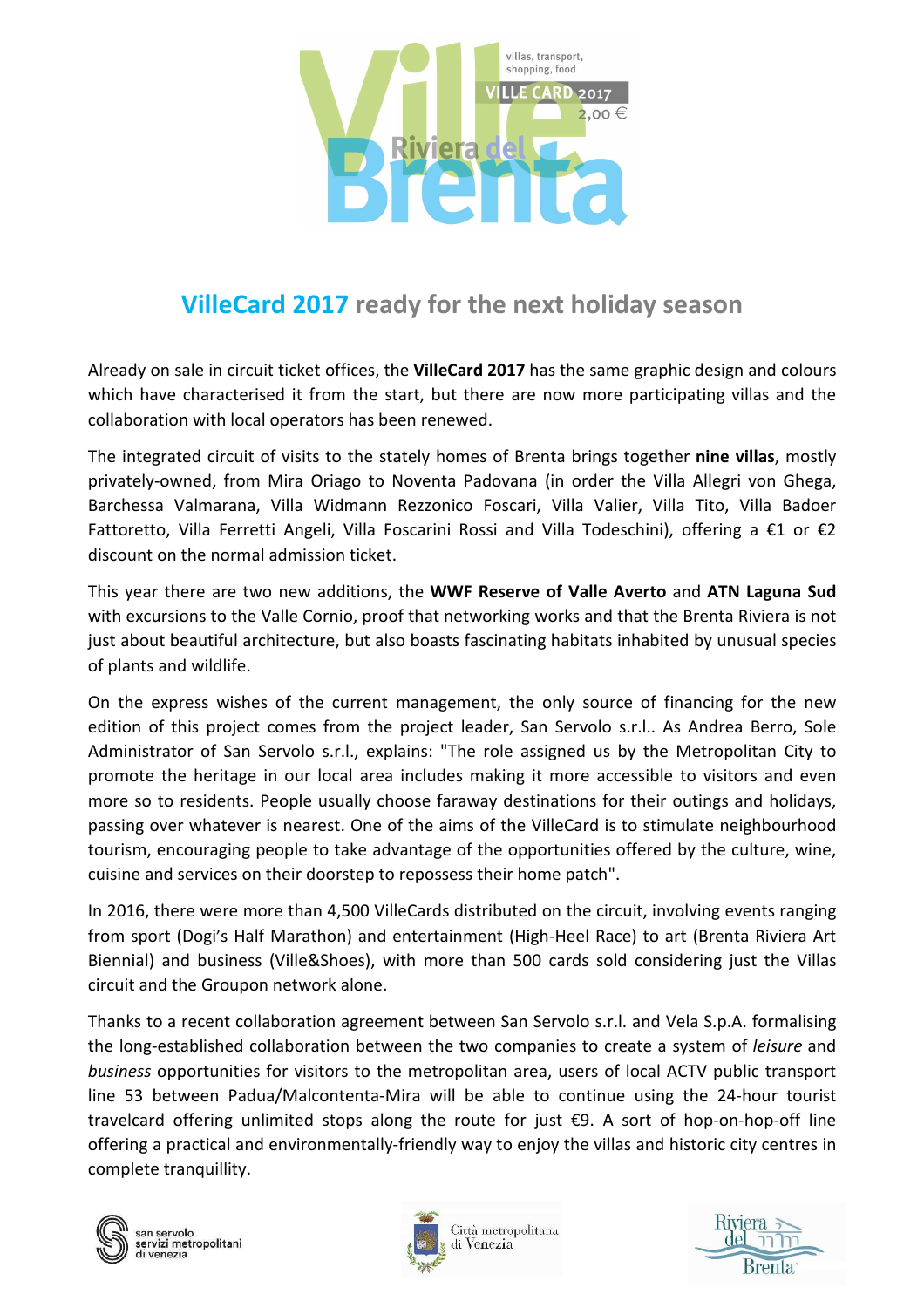

## **VilleCard 2017 ready for the next holiday season**

Already on sale in circuit ticket offices, the **VilleCard 2017** has the same graphic design and colours which have characterised it from the start, but there are now more participating villas and the collaboration with local operators has been renewed.

The integrated circuit of visits to the stately homes of Brenta brings together **nine villas**, mostly privately-owned, from Mira Oriago to Noventa Padovana (in order the Villa Allegri von Ghega, Barchessa Valmarana, Villa Widmann Rezzonico Foscari, Villa Valier, Villa Tito, Villa Badoer Fattoretto, Villa Ferretti Angeli, Villa Foscarini Rossi and Villa Todeschini), offering a €1 or €2 discount on the normal admission ticket.

This year there are two new additions, the **WWF Reserve of Valle Averto** and **ATN Laguna Sud**  with excursions to the Valle Cornio, proof that networking works and that the Brenta Riviera is not just about beautiful architecture, but also boasts fascinating habitats inhabited by unusual species of plants and wildlife.

On the express wishes of the current management, the only source of financing for the new edition of this project comes from the project leader, San Servolo s.r.l.. As Andrea Berro, Sole Administrator of San Servolo s.r.l., explains: "The role assigned us by the Metropolitan City to promote the heritage in our local area includes making it more accessible to visitors and even more so to residents. People usually choose faraway destinations for their outings and holidays, passing over whatever is nearest. One of the aims of the VilleCard is to stimulate neighbourhood tourism, encouraging people to take advantage of the opportunities offered by the culture, wine, cuisine and services on their doorstep to repossess their home patch".

In 2016, there were more than 4,500 VilleCards distributed on the circuit, involving events ranging from sport (Dogi's Half Marathon) and entertainment (High-Heel Race) to art (Brenta Riviera Art Biennial) and business (Ville&Shoes), with more than 500 cards sold considering just the Villas circuit and the Groupon network alone.

Thanks to a recent collaboration agreement between San Servolo s.r.l. and Vela S.p.A. formalising the long-established collaboration between the two companies to create a system of *leisure* and *business* opportunities for visitors to the metropolitan area, users of local ACTV public transport line 53 between Padua/Malcontenta-Mira will be able to continue using the 24-hour tourist travelcard offering unlimited stops along the route for just €9. A sort of hop-on-hop-off line offering a practical and environmentally-friendly way to enjoy the villas and historic city centres in complete tranquillity.